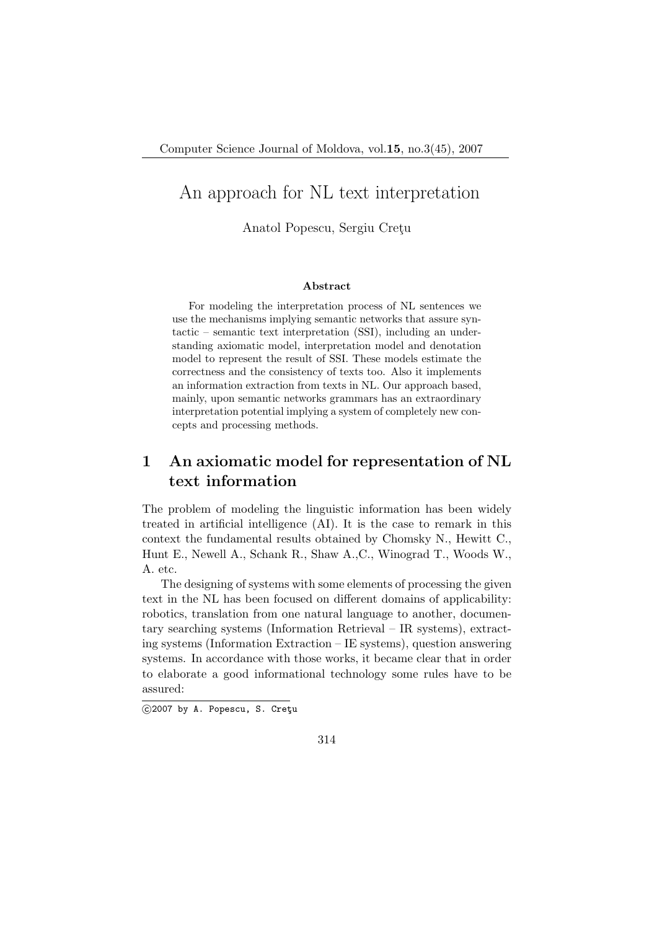# An approach for NL text interpretation

Anatol Popescu, Sergiu Cretu

#### Abstract

For modeling the interpretation process of NL sentences we use the mechanisms implying semantic networks that assure syntactic – semantic text interpretation (SSI), including an understanding axiomatic model, interpretation model and denotation model to represent the result of SSI. These models estimate the correctness and the consistency of texts too. Also it implements an information extraction from texts in NL. Our approach based, mainly, upon semantic networks grammars has an extraordinary interpretation potential implying a system of completely new concepts and processing methods.

## 1 An axiomatic model for representation of NL text information

The problem of modeling the linguistic information has been widely treated in artificial intelligence (AI). It is the case to remark in this context the fundamental results obtained by Chomsky N., Hewitt C., Hunt E., Newell A., Schank R., Shaw A.,C., Winograd T., Woods W., A. etc.

The designing of systems with some elements of processing the given text in the NL has been focused on different domains of applicability: robotics, translation from one natural language to another, documentary searching systems (Information Retrieval – IR systems), extracting systems (Information Extraction – IE systems), question answering systems. In accordance with those works, it became clear that in order to elaborate a good informational technology some rules have to be assured:

<sup>©2007</sup> by A. Popescu, S. Cretu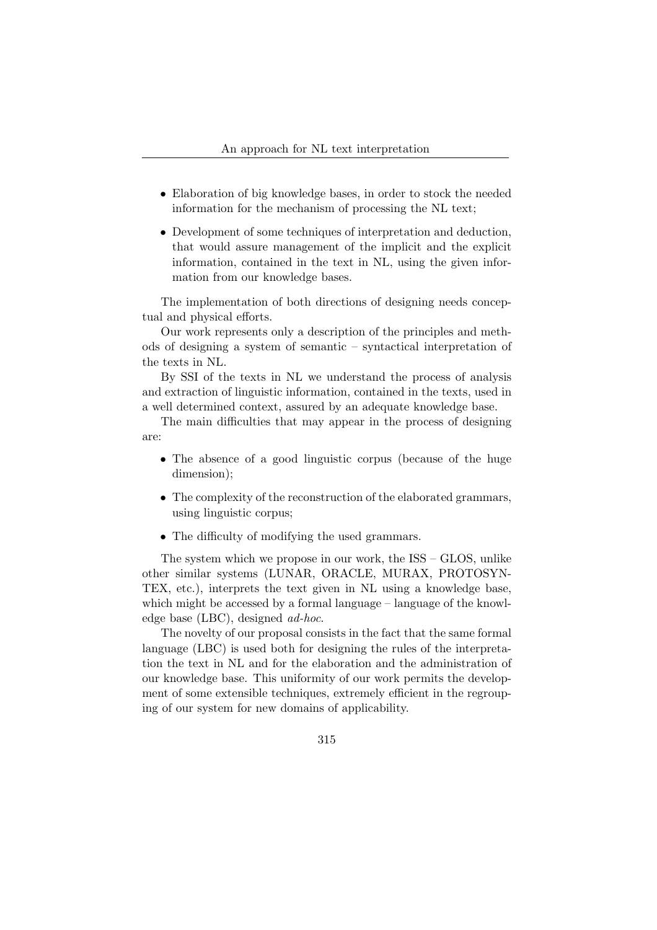- Elaboration of big knowledge bases, in order to stock the needed information for the mechanism of processing the NL text;
- Development of some techniques of interpretation and deduction, that would assure management of the implicit and the explicit information, contained in the text in NL, using the given information from our knowledge bases.

The implementation of both directions of designing needs conceptual and physical efforts.

Our work represents only a description of the principles and methods of designing a system of semantic – syntactical interpretation of the texts in NL.

By SSI of the texts in NL we understand the process of analysis and extraction of linguistic information, contained in the texts, used in a well determined context, assured by an adequate knowledge base.

The main difficulties that may appear in the process of designing are:

- The absence of a good linguistic corpus (because of the huge dimension);
- The complexity of the reconstruction of the elaborated grammars, using linguistic corpus;
- The difficulty of modifying the used grammars.

The system which we propose in our work, the ISS – GLOS, unlike other similar systems (LUNAR, ORACLE, MURAX, PROTOSYN-TEX, etc.), interprets the text given in NL using a knowledge base, which might be accessed by a formal language – language of the knowledge base (LBC), designed ad-hoc.

The novelty of our proposal consists in the fact that the same formal language (LBC) is used both for designing the rules of the interpretation the text in NL and for the elaboration and the administration of our knowledge base. This uniformity of our work permits the development of some extensible techniques, extremely efficient in the regrouping of our system for new domains of applicability.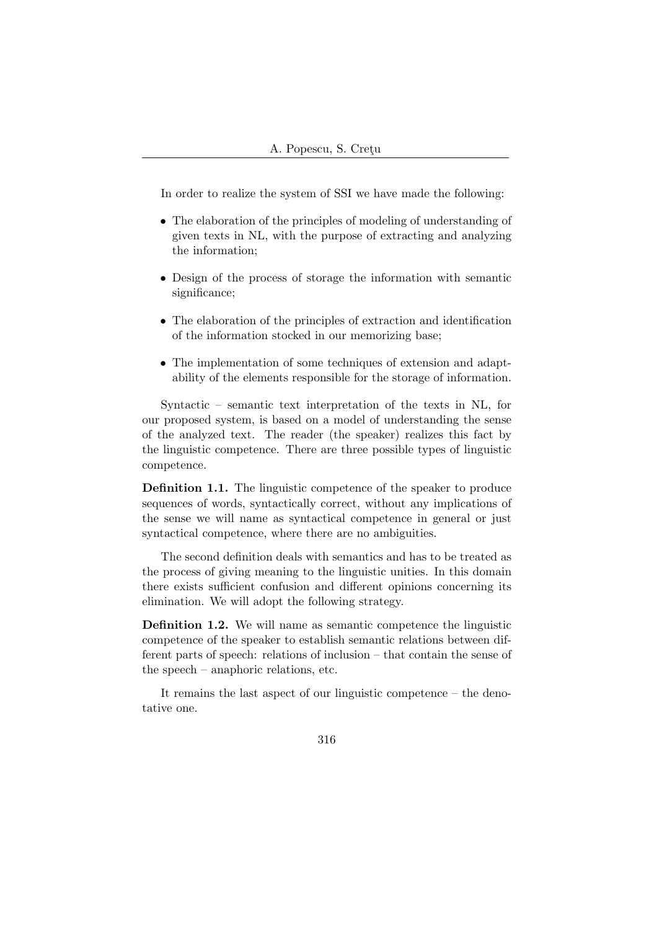In order to realize the system of SSI we have made the following:

- The elaboration of the principles of modeling of understanding of given texts in NL, with the purpose of extracting and analyzing the information;
- Design of the process of storage the information with semantic significance;
- The elaboration of the principles of extraction and identification of the information stocked in our memorizing base;
- The implementation of some techniques of extension and adaptability of the elements responsible for the storage of information.

Syntactic – semantic text interpretation of the texts in NL, for our proposed system, is based on a model of understanding the sense of the analyzed text. The reader (the speaker) realizes this fact by the linguistic competence. There are three possible types of linguistic competence.

Definition 1.1. The linguistic competence of the speaker to produce sequences of words, syntactically correct, without any implications of the sense we will name as syntactical competence in general or just syntactical competence, where there are no ambiguities.

The second definition deals with semantics and has to be treated as the process of giving meaning to the linguistic unities. In this domain there exists sufficient confusion and different opinions concerning its elimination. We will adopt the following strategy.

Definition 1.2. We will name as semantic competence the linguistic competence of the speaker to establish semantic relations between different parts of speech: relations of inclusion – that contain the sense of the speech – anaphoric relations, etc.

It remains the last aspect of our linguistic competence – the denotative one.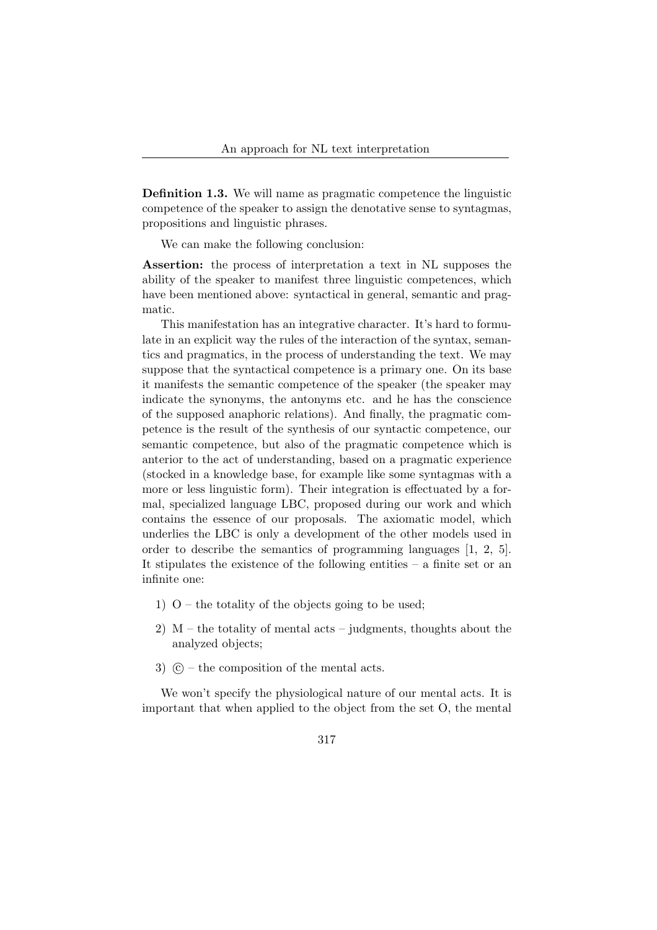Definition 1.3. We will name as pragmatic competence the linguistic competence of the speaker to assign the denotative sense to syntagmas, propositions and linguistic phrases.

We can make the following conclusion:

Assertion: the process of interpretation a text in NL supposes the ability of the speaker to manifest three linguistic competences, which have been mentioned above: syntactical in general, semantic and pragmatic.

This manifestation has an integrative character. It's hard to formulate in an explicit way the rules of the interaction of the syntax, semantics and pragmatics, in the process of understanding the text. We may suppose that the syntactical competence is a primary one. On its base it manifests the semantic competence of the speaker (the speaker may indicate the synonyms, the antonyms etc. and he has the conscience of the supposed anaphoric relations). And finally, the pragmatic competence is the result of the synthesis of our syntactic competence, our semantic competence, but also of the pragmatic competence which is anterior to the act of understanding, based on a pragmatic experience (stocked in a knowledge base, for example like some syntagmas with a more or less linguistic form). Their integration is effectuated by a formal, specialized language LBC, proposed during our work and which contains the essence of our proposals. The axiomatic model, which underlies the LBC is only a development of the other models used in order to describe the semantics of programming languages [1, 2, 5]. It stipulates the existence of the following entities – a finite set or an infinite one:

- 1)  $O$  the totality of the objects going to be used;
- 2)  $M$  the totality of mental acts judgments, thoughts about the analyzed objects;
- 3)  $\mathcal{C}$  the composition of the mental acts.

We won't specify the physiological nature of our mental acts. It is important that when applied to the object from the set O, the mental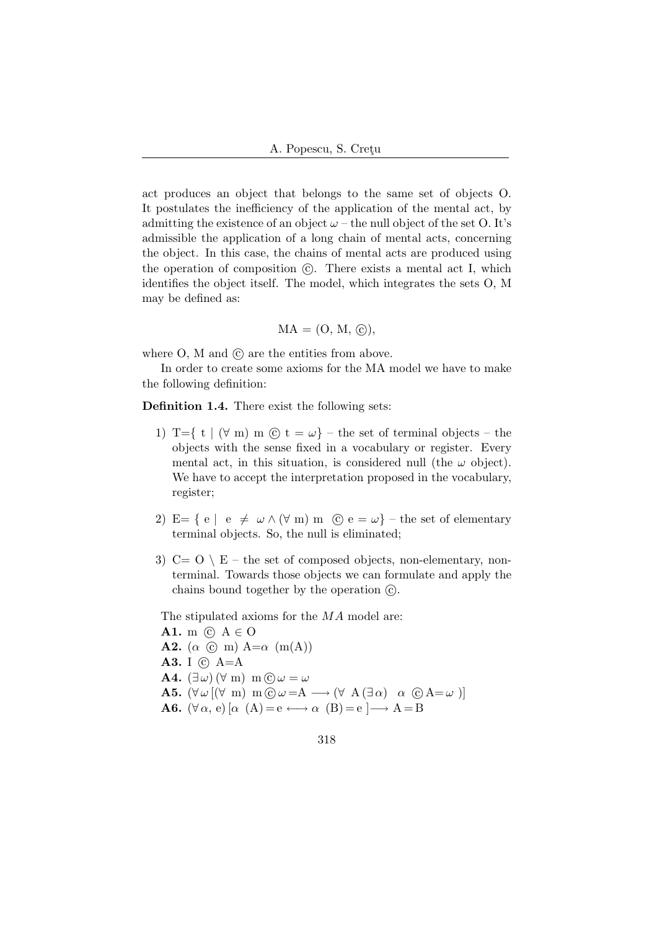act produces an object that belongs to the same set of objects O. It postulates the inefficiency of the application of the mental act, by admitting the existence of an object  $\omega$  – the null object of the set O. It's admissible the application of a long chain of mental acts, concerning the object. In this case, the chains of mental acts are produced using the operation of composition  $\odot$ . There exists a mental act I, which identifies the object itself. The model, which integrates the sets O, M may be defined as:

$$
MA = (O, M, \odot),
$$

where  $O$ ,  $M$  and  $\odot$  are the entities from above.

In order to create some axioms for the MA model we have to make the following definition:

Definition 1.4. There exist the following sets:

- 1) T={ t | ( $\forall$  m) m (c̄) t =  $\omega$ } the set of terminal objects the objects with the sense fixed in a vocabulary or register. Every mental act, in this situation, is considered null (the  $\omega$  object). We have to accept the interpretation proposed in the vocabulary, register;
- 2) E= { e | e  $\neq \omega \wedge (\forall \text{ m}) \text{ m }$  (c) e =  $\omega$ } the set of elementary terminal objects. So, the null is eliminated;
- 3)  $C = O \setminus E$  the set of composed objects, non-elementary, nonterminal. Towards those objects we can formulate and apply the chains bound together by the operation  $\mathcal{C}$ .

The stipulated axioms for the MA model are:

A1. m  $\odot$  A  $\in$  O **A2.** ( $\alpha$  )  $\odot$  m)  $A=\alpha$  (m(A)) A3. I  $\odot$  A=A **A4.**  $(\exists \omega) (\forall \text{ m}) \text{ m}(\mathbf{\hat{c}}) \omega = \omega$ A5.  $(\forall \omega \, [(\forall \, m) \, m \odot \omega = A \rightarrow (\forall \, A \, (\exists \, \alpha) \, \alpha \, \odot A = \omega)]$ **A6.**  $(\forall \alpha, e) [\alpha (A) = e \longleftrightarrow \alpha (B) = e] \longrightarrow A = B$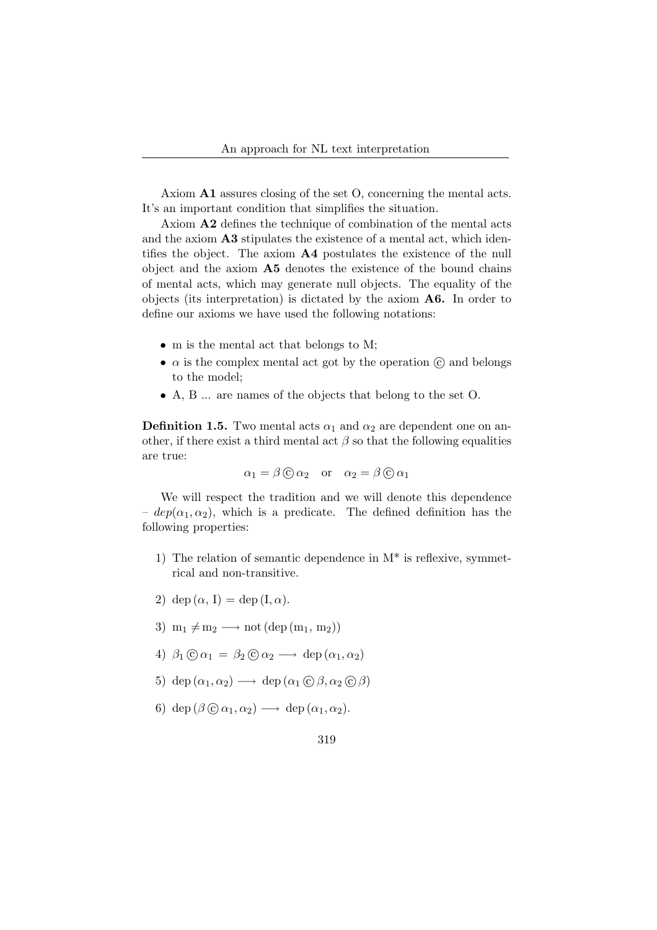Axiom A1 assures closing of the set O, concerning the mental acts. It's an important condition that simplifies the situation.

Axiom A2 defines the technique of combination of the mental acts and the axiom  $\mathbf{A3}$  stipulates the existence of a mental act, which identifies the object. The axiom A4 postulates the existence of the null object and the axiom A5 denotes the existence of the bound chains of mental acts, which may generate null objects. The equality of the objects (its interpretation) is dictated by the axiom A6. In order to define our axioms we have used the following notations:

- m is the mental act that belongs to M;
- $\alpha$  is the complex mental act got by the operation  $\hat{c}$  and belongs to the model;
- A, B ... are names of the objects that belong to the set O.

**Definition 1.5.** Two mental acts  $\alpha_1$  and  $\alpha_2$  are dependent one on another, if there exist a third mental act  $\beta$  so that the following equalities are true:

$$
\alpha_1 = \beta \odot \alpha_2
$$
 or  $\alpha_2 = \beta \odot \alpha_1$ 

We will respect the tradition and we will denote this dependence –  $dep(\alpha_1, \alpha_2)$ , which is a predicate. The defined definition has the following properties:

- 1) The relation of semantic dependence in  $M^*$  is reflexive, symmetrical and non-transitive.
- 2) dep  $(\alpha, I) =$  dep  $(I, \alpha)$ .
- 3)  $m_1 \neq m_2 \longrightarrow \text{not} (\text{dep} (m_1, m_2))$
- 4)  $\beta_1 \odot \alpha_1 = \beta_2 \odot \alpha_2 \longrightarrow \text{dep}(\alpha_1, \alpha_2)$
- 5) dep  $(\alpha_1, \alpha_2) \longrightarrow$  dep  $(\alpha_1 \odot \beta, \alpha_2 \odot \beta)$
- 6) dep  $(\beta \odot \alpha_1, \alpha_2) \longrightarrow$  dep  $(\alpha_1, \alpha_2)$ .
	- 319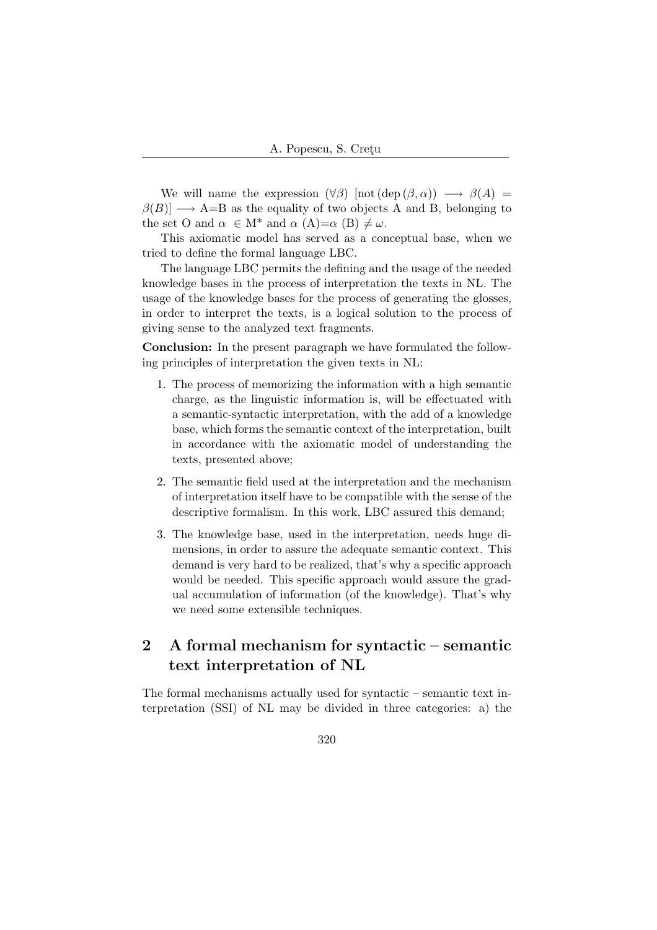We will name the expression  $(\forall \beta)$  [not  $(\text{dep }(\beta, \alpha)) \longrightarrow \beta(A)$  =  $\beta(B)$   $\longrightarrow$  A=B as the equality of two objects A and B, belonging to the set O and  $\alpha \in M^*$  and  $\alpha (A)=\alpha (B) \neq \omega$ .

This axiomatic model has served as a conceptual base, when we tried to define the formal language LBC.

The language LBC permits the defining and the usage of the needed knowledge bases in the process of interpretation the texts in NL. The usage of the knowledge bases for the process of generating the glosses, in order to interpret the texts, is a logical solution to the process of giving sense to the analyzed text fragments.

Conclusion: In the present paragraph we have formulated the following principles of interpretation the given texts in NL:

- 1. The process of memorizing the information with a high semantic charge, as the linguistic information is, will be effectuated with a semantic-syntactic interpretation, with the add of a knowledge base, which forms the semantic context of the interpretation, built in accordance with the axiomatic model of understanding the texts, presented above;
- 2. The semantic field used at the interpretation and the mechanism of interpretation itself have to be compatible with the sense of the descriptive formalism. In this work, LBC assured this demand;
- 3. The knowledge base, used in the interpretation, needs huge dimensions, in order to assure the adequate semantic context. This demand is very hard to be realized, that's why a specific approach would be needed. This specific approach would assure the gradual accumulation of information (of the knowledge). That's why we need some extensible techniques.

## 2 A formal mechanism for syntactic – semantic text interpretation of NL

The formal mechanisms actually used for syntactic – semantic text interpretation (SSI) of NL may be divided in three categories: a) the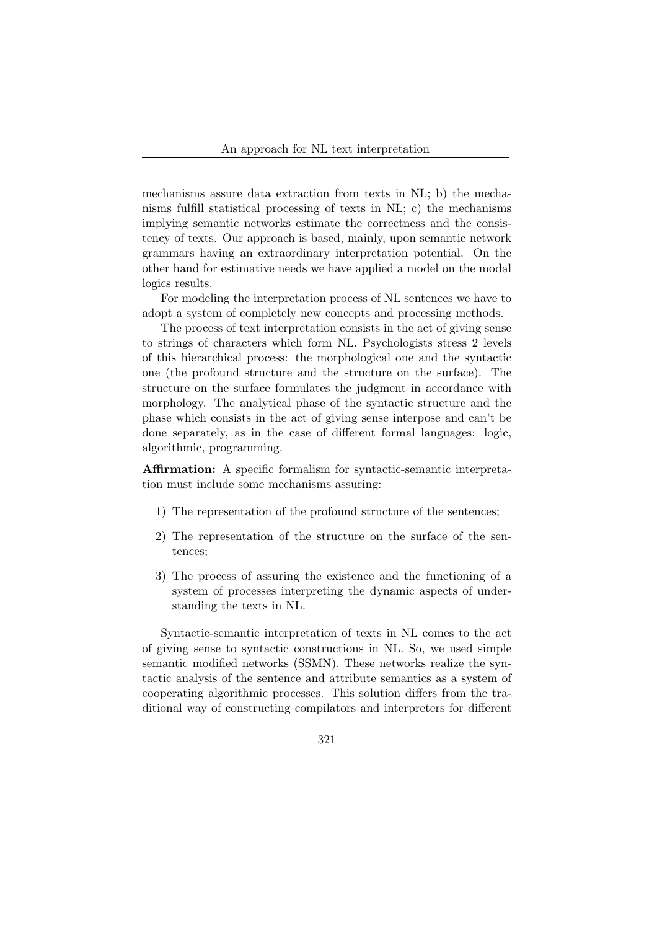mechanisms assure data extraction from texts in NL; b) the mechanisms fulfill statistical processing of texts in NL; c) the mechanisms implying semantic networks estimate the correctness and the consistency of texts. Our approach is based, mainly, upon semantic network grammars having an extraordinary interpretation potential. On the other hand for estimative needs we have applied a model on the modal logics results.

For modeling the interpretation process of NL sentences we have to adopt a system of completely new concepts and processing methods.

The process of text interpretation consists in the act of giving sense to strings of characters which form NL. Psychologists stress 2 levels of this hierarchical process: the morphological one and the syntactic one (the profound structure and the structure on the surface). The structure on the surface formulates the judgment in accordance with morphology. The analytical phase of the syntactic structure and the phase which consists in the act of giving sense interpose and can't be done separately, as in the case of different formal languages: logic, algorithmic, programming.

Affirmation: A specific formalism for syntactic-semantic interpretation must include some mechanisms assuring:

- 1) The representation of the profound structure of the sentences;
- 2) The representation of the structure on the surface of the sentences;
- 3) The process of assuring the existence and the functioning of a system of processes interpreting the dynamic aspects of understanding the texts in NL.

Syntactic-semantic interpretation of texts in NL comes to the act of giving sense to syntactic constructions in NL. So, we used simple semantic modified networks (SSMN). These networks realize the syntactic analysis of the sentence and attribute semantics as a system of cooperating algorithmic processes. This solution differs from the traditional way of constructing compilators and interpreters for different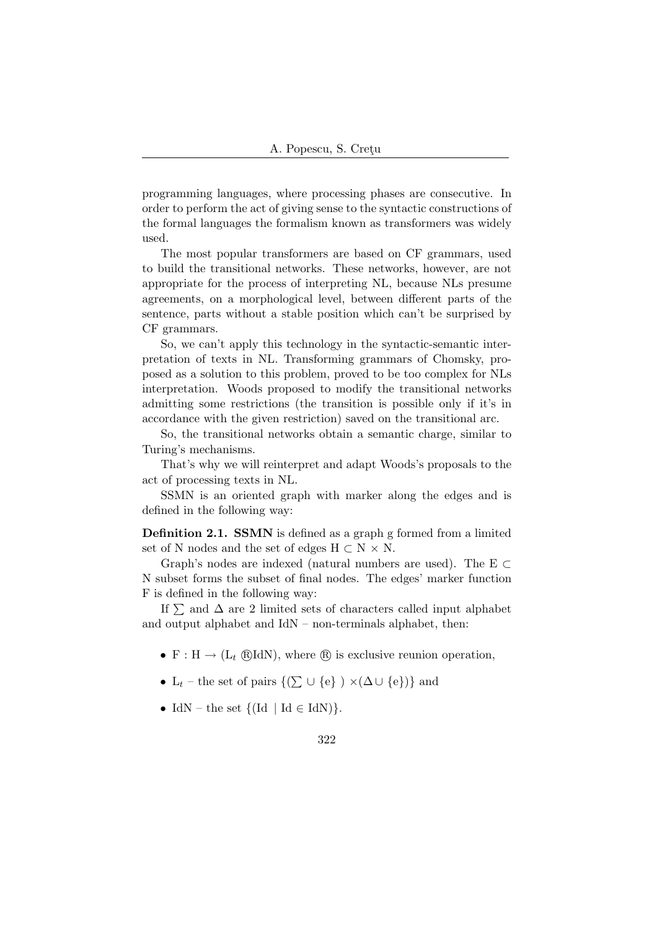programming languages, where processing phases are consecutive. In order to perform the act of giving sense to the syntactic constructions of the formal languages the formalism known as transformers was widely used.

The most popular transformers are based on CF grammars, used to build the transitional networks. These networks, however, are not appropriate for the process of interpreting NL, because NLs presume agreements, on a morphological level, between different parts of the sentence, parts without a stable position which can't be surprised by CF grammars.

So, we can't apply this technology in the syntactic-semantic interpretation of texts in NL. Transforming grammars of Chomsky, proposed as a solution to this problem, proved to be too complex for NLs interpretation. Woods proposed to modify the transitional networks admitting some restrictions (the transition is possible only if it's in accordance with the given restriction) saved on the transitional arc.

So, the transitional networks obtain a semantic charge, similar to Turing's mechanisms.

That's why we will reinterpret and adapt Woods's proposals to the act of processing texts in NL.

SSMN is an oriented graph with marker along the edges and is defined in the following way:

Definition 2.1. SSMN is defined as a graph g formed from a limited set of N nodes and the set of edges  $H \subset N \times N$ .

Graph's nodes are indexed (natural numbers are used). The E  $\subset$ N subset forms the subset of final nodes. The edges' marker function F is defined in the following way:

If  $\sum$  and  $\Delta$  are 2 limited sets of characters called input alphabet and output alphabet and IdN – non-terminals alphabet, then:

- F : H  $\rightarrow$  (L<sub>t</sub> @RIdN), where  $\circledR$  is exclusive reunion operation,
- L<sub>t</sub> the set of pairs  $\{(\sum \cup \{e\}) \times (\Delta \cup \{e\})\}$  and
- IdN the set  $\{(\text{Id} \mid \text{Id} \in \text{IdN})\}.$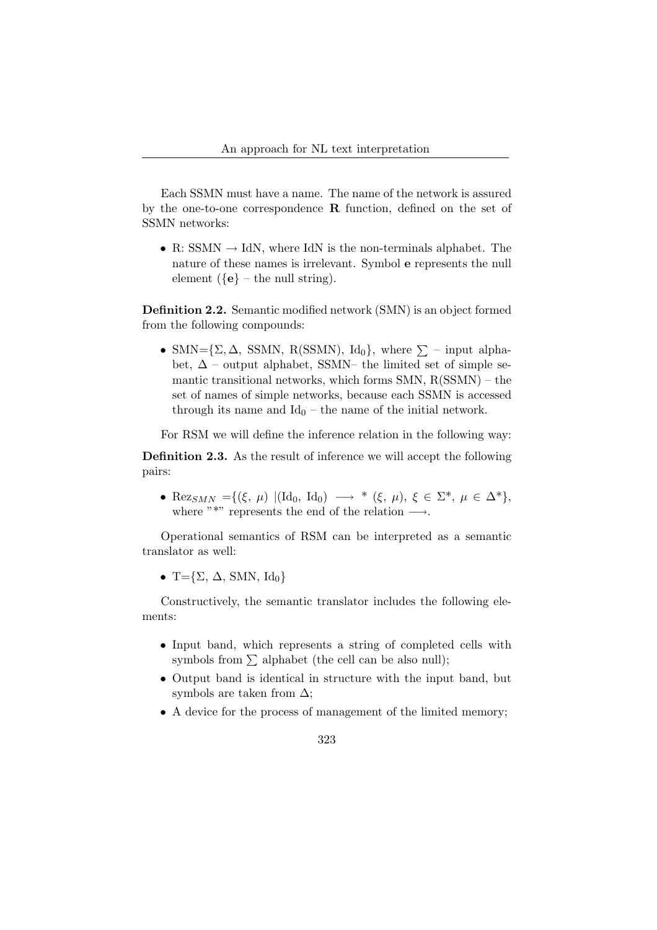Each SSMN must have a name. The name of the network is assured by the one-to-one correspondence  $\bf{R}$  function, defined on the set of SSMN networks:

• R: SSMN  $\rightarrow$  IdN, where IdN is the non-terminals alphabet. The nature of these names is irrelevant. Symbol e represents the null element  $({\bf e})$  – the null string).

Definition 2.2. Semantic modified network (SMN) is an object formed from the following compounds:

• SMN= $\{\Sigma, \Delta, \text{SSMN}, \text{R}(\text{SSMN}), \text{Id}_0\}$ , where  $\Sigma$  – input alphabet,  $\Delta$  – output alphabet, SSMN– the limited set of simple semantic transitional networks, which forms  $SMN$ ,  $R(SSMN)$  – the set of names of simple networks, because each SSMN is accessed through its name and  $Id_0$  – the name of the initial network.

For RSM we will define the inference relation in the following way:

Definition 2.3. As the result of inference we will accept the following pairs:

• Rez<sub>SMN</sub> ={( $\xi$ ,  $\mu$ ) |(Id<sub>0</sub>, Id<sub>0</sub>)  $\longrightarrow$  \* ( $\xi$ ,  $\mu$ ),  $\xi \in \Sigma^*$ ,  $\mu \in \Delta^*$ }, where "\*" represents the end of the relation  $\longrightarrow$ .

Operational semantics of RSM can be interpreted as a semantic translator as well:

• T= $\{\Sigma, \Delta, SMN, Id_0\}$ 

Constructively, the semantic translator includes the following elements:

- Input band, which represents a string of completed cells with symbols from  $\Sigma$  alphabet (the cell can be also null);
- Output band is identical in structure with the input band, but symbols are taken from  $\Delta$ ;
- A device for the process of management of the limited memory;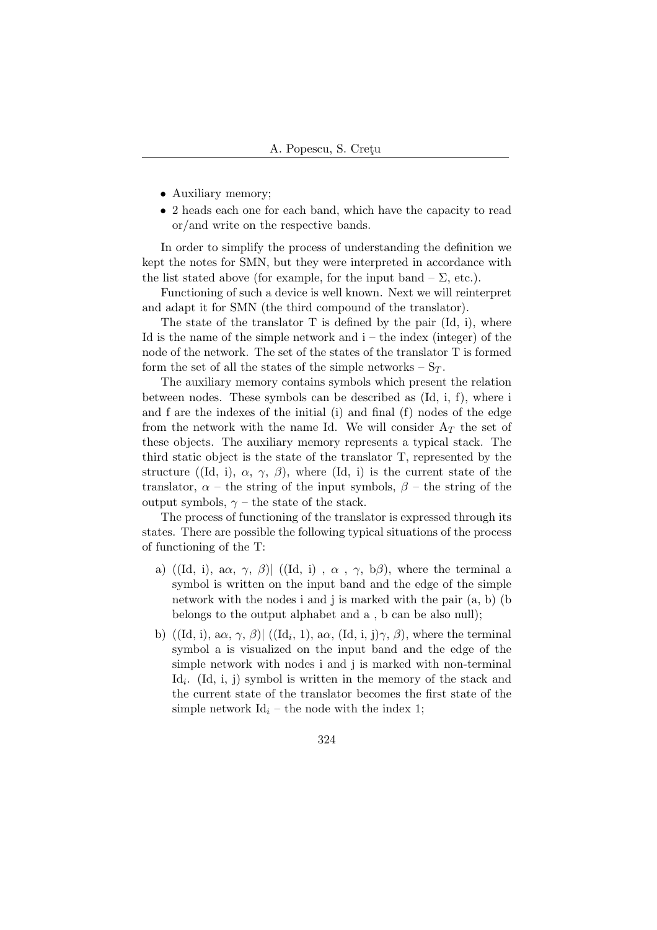- Auxiliary memory;
- 2 heads each one for each band, which have the capacity to read or/and write on the respective bands.

In order to simplify the process of understanding the definition we kept the notes for SMN, but they were interpreted in accordance with the list stated above (for example, for the input band  $-\Sigma$ , etc.).

Functioning of such a device is well known. Next we will reinterpret and adapt it for SMN (the third compound of the translator).

The state of the translator  $T$  is defined by the pair  $(\mathrm{Id}, i)$ , where Id is the name of the simple network and  $i$  – the index (integer) of the node of the network. The set of the states of the translator T is formed form the set of all the states of the simple networks  $-S_T$ .

The auxiliary memory contains symbols which present the relation between nodes. These symbols can be described as (Id, i, f), where i and f are the indexes of the initial (i) and final (f) nodes of the edge from the network with the name Id. We will consider  $A_T$  the set of these objects. The auxiliary memory represents a typical stack. The third static object is the state of the translator T, represented by the structure ((Id, i),  $\alpha$ ,  $\gamma$ ,  $\beta$ ), where (Id, i) is the current state of the translator,  $\alpha$  – the string of the input symbols,  $\beta$  – the string of the output symbols,  $\gamma$  – the state of the stack.

The process of functioning of the translator is expressed through its states. There are possible the following typical situations of the process of functioning of the T:

- a) ((Id, i), a $\alpha$ ,  $\gamma$ ,  $\beta$ ) ((Id, i),  $\alpha$ ,  $\gamma$ ,  $\beta$ ), where the terminal a symbol is written on the input band and the edge of the simple network with the nodes i and j is marked with the pair (a, b) (b belongs to the output alphabet and a , b can be also null);
- b)  $((Id, i), \alpha, \gamma, \beta)$   $((Id_i, 1), \alpha, (Id, i, j)\gamma, \beta)$ , where the terminal symbol a is visualized on the input band and the edge of the simple network with nodes i and j is marked with non-terminal Id<sub>i</sub>. (Id, i, j) symbol is written in the memory of the stack and the current state of the translator becomes the first state of the simple network  $Id_i$  – the node with the index 1;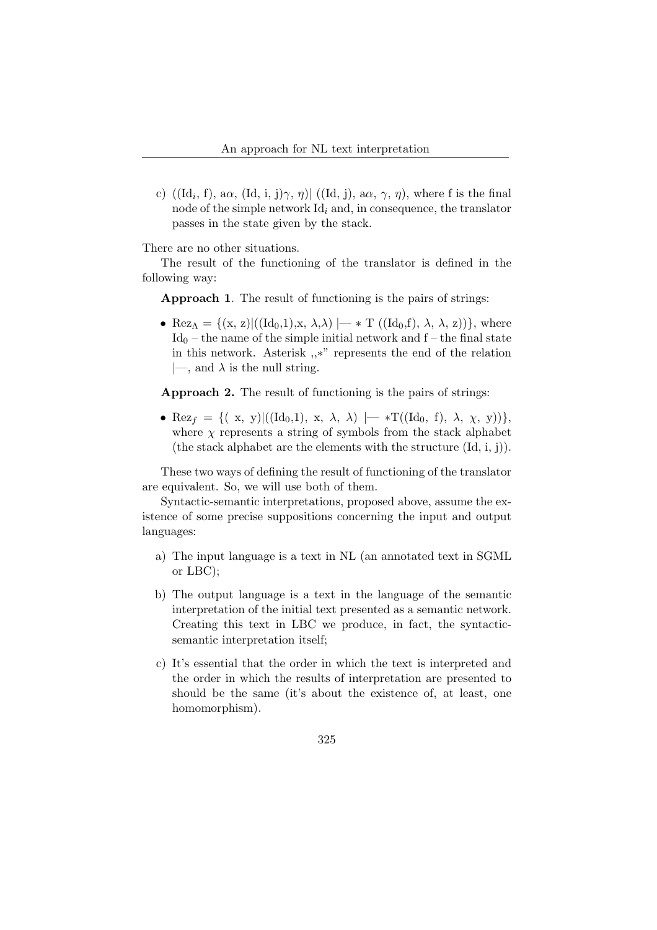c)  $((\mathrm{Id}_i, f), \mathrm{a}\alpha, (\mathrm{Id}, i, j)\gamma, \eta) | ((\mathrm{Id}, j), \mathrm{a}\alpha, \gamma, \eta)$ , where f is the final node of the simple network  $\mathrm{Id}_i$  and, in consequence, the translator passes in the state given by the stack.

There are no other situations.

The result of the functioning of the translator is defined in the following way:

Approach 1. The result of functioning is the pairs of strings:

• Rez<sub> $\Lambda$ </sub> = { $(x, z)$ ] $((Id_0, 1), x, \lambda, \lambda)$   $\mapsto$  T  $((Id_0, f), \lambda, \lambda, z)$ }, where  $Id_0$  – the name of the simple initial network and  $f$  – the final state in this network. Asterisk ,,∗" represents the end of the relation  $|\text{---}, \text{ and } \lambda \text{ is the null string.}$ 

Approach 2. The result of functioning is the pairs of strings:

• Rez<sub>f</sub> = {(x, y)|((Id<sub>0</sub>, 1), x,  $\lambda$ ,  $\lambda$ ) |— \*T((Id<sub>0</sub>, f),  $\lambda$ ,  $\chi$ , y))}, where  $\chi$  represents a string of symbols from the stack alphabet (the stack alphabet are the elements with the structure  $(\mathrm{Id}, i, j)$ ).

These two ways of defining the result of functioning of the translator are equivalent. So, we will use both of them.

Syntactic-semantic interpretations, proposed above, assume the existence of some precise suppositions concerning the input and output languages:

- a) The input language is a text in NL (an annotated text in SGML or LBC);
- b) The output language is a text in the language of the semantic interpretation of the initial text presented as a semantic network. Creating this text in LBC we produce, in fact, the syntacticsemantic interpretation itself;
- c) It's essential that the order in which the text is interpreted and the order in which the results of interpretation are presented to should be the same (it's about the existence of, at least, one homomorphism).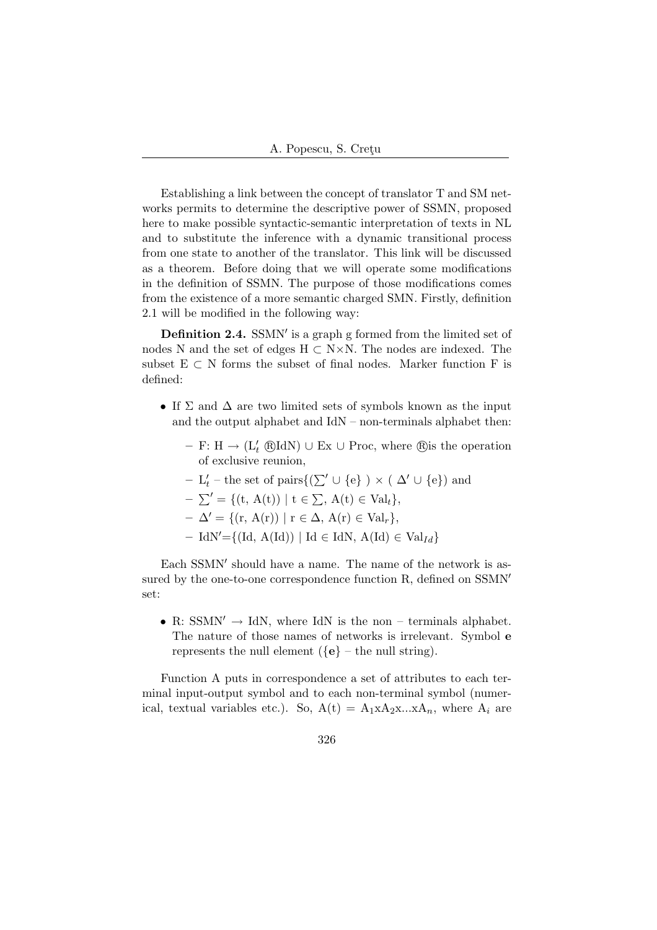Establishing a link between the concept of translator T and SM networks permits to determine the descriptive power of SSMN, proposed here to make possible syntactic-semantic interpretation of texts in NL and to substitute the inference with a dynamic transitional process from one state to another of the translator. This link will be discussed as a theorem. Before doing that we will operate some modifications in the definition of SSMN. The purpose of those modifications comes from the existence of a more semantic charged SMN. Firstly, definition 2.1 will be modified in the following way:

**Definition 2.4.** SSMN' is a graph g formed from the limited set of nodes N and the set of edges  $H \subset N \times N$ . The nodes are indexed. The subset  $E \subset N$  forms the subset of final nodes. Marker function F is defined:

- If  $\Sigma$  and  $\Delta$  are two limited sets of symbols known as the input and the output alphabet and IdN – non-terminals alphabet then:
	- F: H → ( $L'_{t}$  ®IdN) ∪ Ex ∪ Proc, where ®is the operation of exclusive reunion,
	- $L'_t$  the set of pairs{( $\Sigma' ∪ {e}$ ) × ( $\Delta' ∪ {e}$ ) and
	- $-\sum' = \{(t, A(t)) | t \in \sum, A(t) \in Val_t\},\$

 $-\Delta' = \{(\mathbf{r}, \mathbf{A}(\mathbf{r})) \mid \mathbf{r} \in \Delta, \mathbf{A}(\mathbf{r}) \in \mathrm{Val}_r\},\$ 

– IdN'={(Id, A(Id)) | Id ∈ IdN, A(Id) ∈ Val<sub>Id</sub>}

Each SSMN' should have a name. The name of the network is assured by the one-to-one correspondence function  $R$ , defined on  $SSMN'$ set:

• R: SSMN'  $\rightarrow$  IdN, where IdN is the non – terminals alphabet. The nature of those names of networks is irrelevant. Symbol e represents the null element  $({\bf e} - {\bf e} - {\bf e} - {\bf e} - {\bf e} - {\bf e} - {\bf e}$ .

Function A puts in correspondence a set of attributes to each terminal input-output symbol and to each non-terminal symbol (numerical, textual variables etc.). So,  $A(t) = A_1 x A_2 x ... x A_n$ , where  $A_i$  are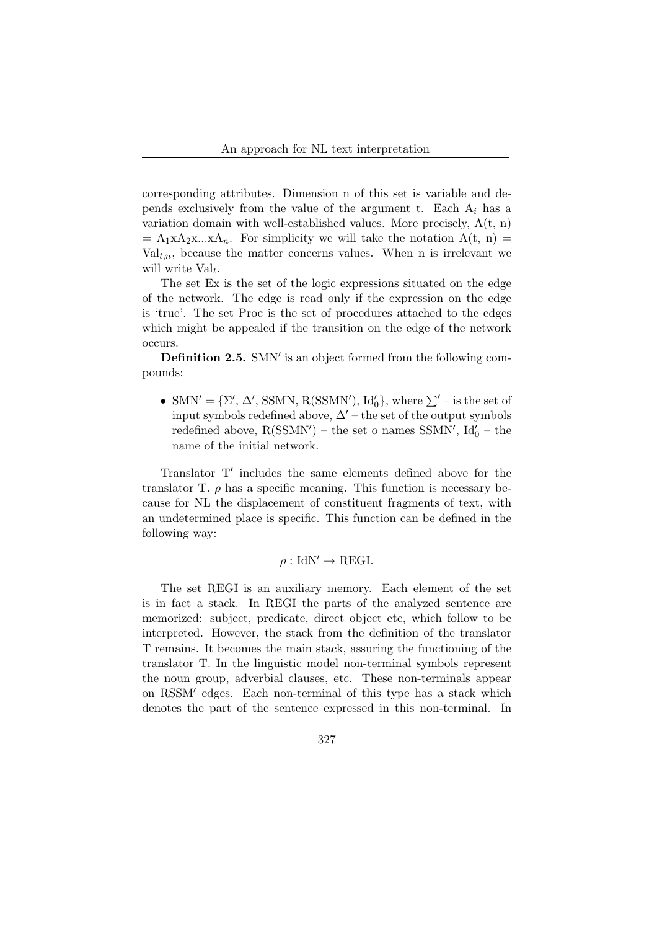corresponding attributes. Dimension n of this set is variable and depends exclusively from the value of the argument t. Each  $A_i$  has a variation domain with well-established values. More precisely,  $A(t, n)$  $= A_1xA_2x...xA_n$ . For simplicity we will take the notation  $A(t, n) =$  $Val_{t,n}$ , because the matter concerns values. When n is irrelevant we will write  $Val_t$ .

The set Ex is the set of the logic expressions situated on the edge of the network. The edge is read only if the expression on the edge is 'true'. The set Proc is the set of procedures attached to the edges which might be appealed if the transition on the edge of the network occurs.

Definition 2.5. SMN' is an object formed from the following compounds:

• SMN' = { $\Sigma'$ ,  $\Delta'$ , SSMN, R(SSMN'), Id'<sub>0</sub>}, where  $\Sigma'$  – is the set of input symbols redefined above,  $\Delta'$  – the set of the output symbols redefined above,  $R(SSMN')$  – the set o names SSMN',  $Id'_0$  – the name of the initial network.

Translator T' includes the same elements defined above for the translator T.  $\rho$  has a specific meaning. This function is necessary because for NL the displacement of constituent fragments of text, with an undetermined place is specific. This function can be defined in the following way:

$$
\rho: \text{IdN}' \to \text{REGI}.
$$

The set REGI is an auxiliary memory. Each element of the set is in fact a stack. In REGI the parts of the analyzed sentence are memorized: subject, predicate, direct object etc, which follow to be interpreted. However, the stack from the definition of the translator T remains. It becomes the main stack, assuring the functioning of the translator T. In the linguistic model non-terminal symbols represent the noun group, adverbial clauses, etc. These non-terminals appear on RSSM' edges. Each non-terminal of this type has a stack which denotes the part of the sentence expressed in this non-terminal. In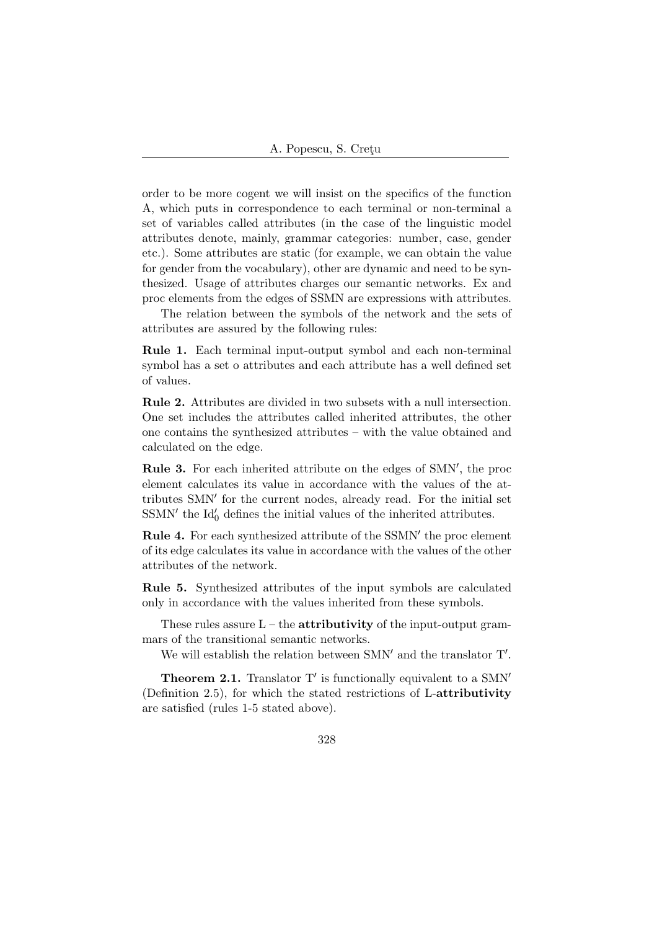order to be more cogent we will insist on the specifics of the function A, which puts in correspondence to each terminal or non-terminal a set of variables called attributes (in the case of the linguistic model attributes denote, mainly, grammar categories: number, case, gender etc.). Some attributes are static (for example, we can obtain the value for gender from the vocabulary), other are dynamic and need to be synthesized. Usage of attributes charges our semantic networks. Ex and proc elements from the edges of SSMN are expressions with attributes.

The relation between the symbols of the network and the sets of attributes are assured by the following rules:

Rule 1. Each terminal input-output symbol and each non-terminal symbol has a set o attributes and each attribute has a well defined set of values.

Rule 2. Attributes are divided in two subsets with a null intersection. One set includes the attributes called inherited attributes, the other one contains the synthesized attributes – with the value obtained and calculated on the edge.

Rule 3. For each inherited attribute on the edges of SMN', the proc element calculates its value in accordance with the values of the attributes SMN' for the current nodes, already read. For the initial set  $\ensuremath{\mathrm{SSMN}}'$  the  $\ensuremath{\mathrm{Id}}_0'$  defines the initial values of the inherited attributes.

Rule 4. For each synthesized attribute of the SSMN' the proc element of its edge calculates its value in accordance with the values of the other attributes of the network.

Rule 5. Synthesized attributes of the input symbols are calculated only in accordance with the values inherited from these symbols.

These rules assure  $L$  – the **attributivity** of the input-output grammars of the transitional semantic networks.

We will establish the relation between SMN' and the translator  $T'$ .

**Theorem 2.1.** Translator  $T'$  is functionally equivalent to a SMN<sup> $'$ </sup> (Definition 2.5), for which the stated restrictions of L-attributivity are satisfied (rules 1-5 stated above).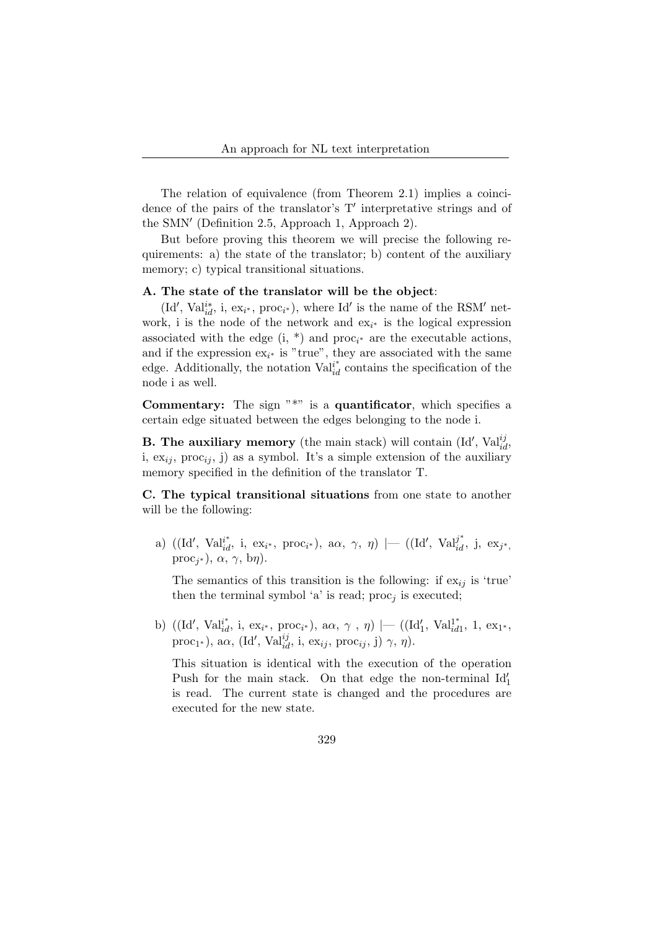The relation of equivalence (from Theorem 2.1) implies a coincidence of the pairs of the translator's  $T'$  interpretative strings and of the SMN' (Definition 2.5, Approach 1, Approach 2).

But before proving this theorem we will precise the following requirements: a) the state of the translator; b) content of the auxiliary memory; c) typical transitional situations.

#### A. The state of the translator will be the object:

(Id', Val<sup>i\*</sup><sub>id</sub>, i, ex<sub>i\*</sub>, proc<sub>i\*</sub>), where Id' is the name of the RSM' network, i is the node of the network and  $ex_{i^*}$  is the logical expression associated with the edge  $(i, * )$  and proc<sub>i\*</sub> are the executable actions, and if the expression  $ex_{i^*}$  is "true", they are associated with the same edge. Additionally, the notation  $Val_{id}^{i^*}$  contains the specification of the node i as well.

**Commentary:** The sign  $"\n$ \*" is a **quantificator**, which specifies a certain edge situated between the edges belonging to the node i.

**B. The auxiliary memory** (the main stack) will contain (Id',  $Val_{id}^{ij}$ , i,  $ex_{ii}$ , proc<sub>ij</sub>, j) as a symbol. It's a simple extension of the auxiliary memory specified in the definition of the translator T.

C. The typical transitional situations from one state to another will be the following:

a)  $((Id', \text{ Val}_{id}^{i^*}, i, \text{ ex}_{i^*}, \text{ proc}_{i^*}), \text{ a}, \gamma, \eta) \mid (Id', \text{ Val}_{id}^{j^*}, j, \text{ ex}_{j^*},$ proc<sub>j<sup>\*</sub></sup>),  $\alpha$ ,  $\gamma$ , b $\eta$ ).</sub>

The semantics of this transition is the following: if  $ex_{ij}$  is 'true' then the terminal symbol 'a' is read;  $\text{proc}_j$  is executed;

b) ((Id', Val<sup>1\*</sup>, i, ex<sub>i\*</sub>, proc<sub>i\*</sub>), a $\alpha$ ,  $\gamma$ ,  $\eta$ ) |— ((Id'<sub>1</sub>, Val<sup>1\*</sup><sub>id</sub>  $\frac{1}{id1}$ , 1, ex<sub>1\*</sub>, proc<sub>1</sub>\*), a $\alpha$ , (Id', Val<sup>ij</sup><sub>id</sub>, i, ex<sub>ij</sub>, proc<sub>ij</sub>, j)  $\gamma$ ,  $\eta$ ).

This situation is identical with the execution of the operation Push for the main stack. On that edge the non-terminal  $Id'_1$ is read. The current state is changed and the procedures are executed for the new state.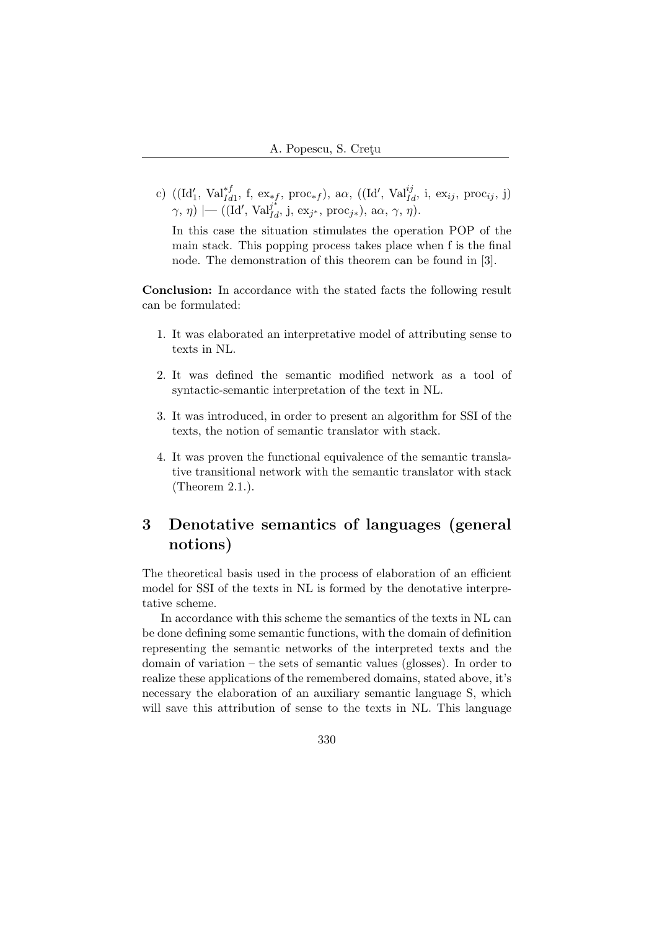c)  $((Id'_1, Val_{Id1}^{*f}, f, ex_{*f}, proc_{*f}), a\alpha, ((Id', Val_{Id}^{ij}, i, ex_{ij}, proc_{ij}, j)$  $(\gamma, \eta) \mid$  ((Id', Val<sup>j\*</sup><sub>*id*</sub>, j, ex<sub>j\*</sub>, proc<sub>j\*</sub>), a $\alpha$ ,  $\gamma$ ,  $\eta$ ).

In this case the situation stimulates the operation POP of the main stack. This popping process takes place when f is the final node. The demonstration of this theorem can be found in [3].

Conclusion: In accordance with the stated facts the following result can be formulated:

- 1. It was elaborated an interpretative model of attributing sense to texts in NL.
- 2. It was defined the semantic modified network as a tool of syntactic-semantic interpretation of the text in NL.
- 3. It was introduced, in order to present an algorithm for SSI of the texts, the notion of semantic translator with stack.
- 4. It was proven the functional equivalence of the semantic translative transitional network with the semantic translator with stack (Theorem 2.1.).

## 3 Denotative semantics of languages (general notions)

The theoretical basis used in the process of elaboration of an efficient model for SSI of the texts in NL is formed by the denotative interpretative scheme.

In accordance with this scheme the semantics of the texts in NL can be done defining some semantic functions, with the domain of definition representing the semantic networks of the interpreted texts and the domain of variation – the sets of semantic values (glosses). In order to realize these applications of the remembered domains, stated above, it's necessary the elaboration of an auxiliary semantic language S, which will save this attribution of sense to the texts in NL. This language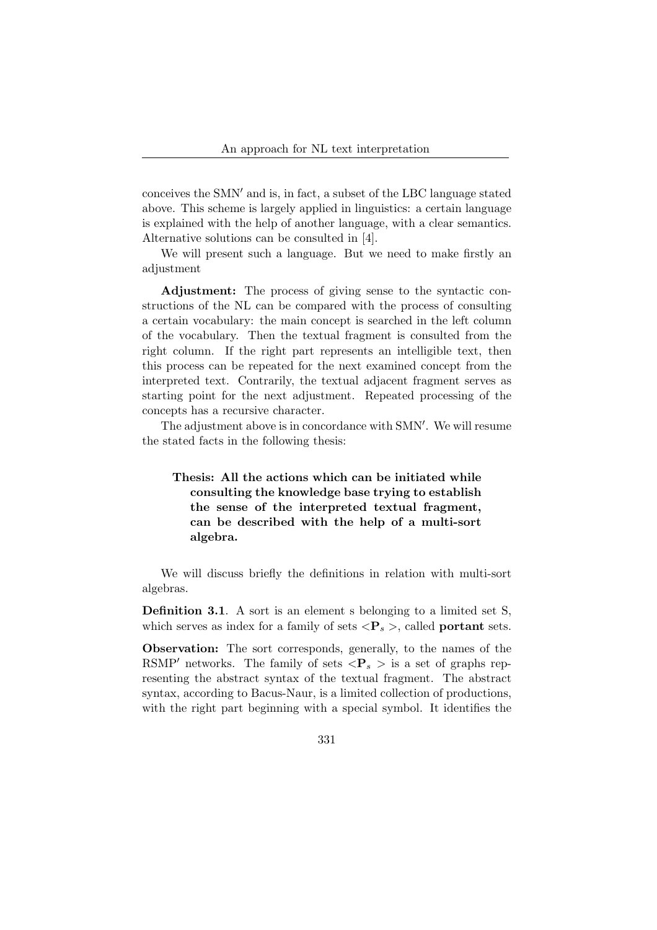conceives the SMN $^{\prime}$  and is, in fact, a subset of the LBC language stated above. This scheme is largely applied in linguistics: a certain language is explained with the help of another language, with a clear semantics. Alternative solutions can be consulted in [4].

We will present such a language. But we need to make firstly an adjustment

Adjustment: The process of giving sense to the syntactic constructions of the NL can be compared with the process of consulting a certain vocabulary: the main concept is searched in the left column of the vocabulary. Then the textual fragment is consulted from the right column. If the right part represents an intelligible text, then this process can be repeated for the next examined concept from the interpreted text. Contrarily, the textual adjacent fragment serves as starting point for the next adjustment. Repeated processing of the concepts has a recursive character.

The adjustment above is in concordance with SMN'. We will resume the stated facts in the following thesis:

### Thesis: All the actions which can be initiated while consulting the knowledge base trying to establish the sense of the interpreted textual fragment, can be described with the help of a multi-sort algebra.

We will discuss briefly the definitions in relation with multi-sort algebras.

Definition 3.1. A sort is an element s belonging to a limited set S, which serves as index for a family of sets  $\langle P_s \rangle$ , called **portant** sets.

Observation: The sort corresponds, generally, to the names of the RSMP' networks. The family of sets  $\langle P_s \rangle$  is a set of graphs representing the abstract syntax of the textual fragment. The abstract syntax, according to Bacus-Naur, is a limited collection of productions, with the right part beginning with a special symbol. It identifies the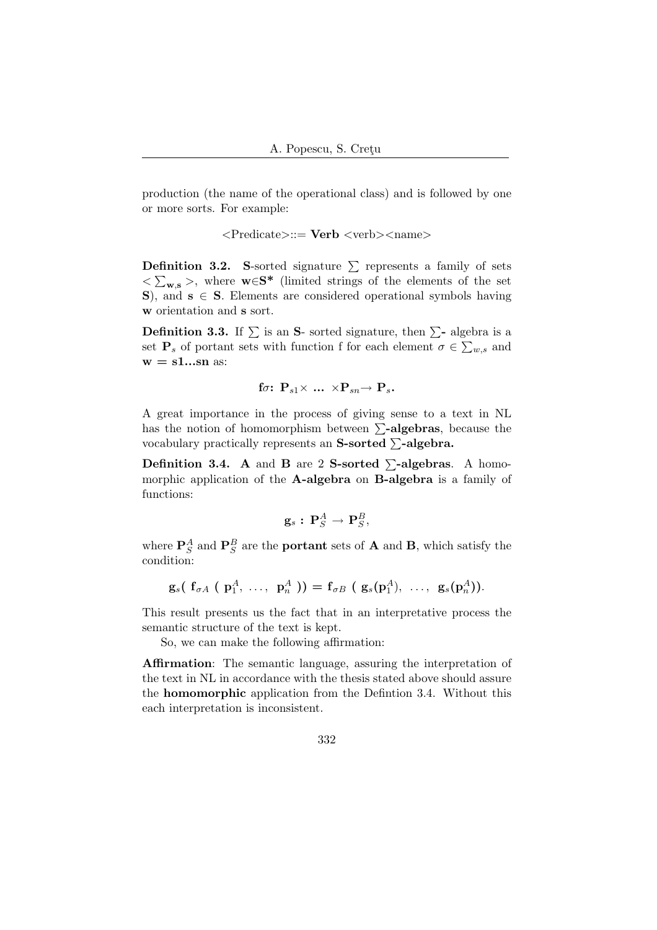production (the name of the operational class) and is followed by one or more sorts. For example:

<Predicate>::= Verb <verb><name>

**Definition 3.2.** S-sorted signature  $\sum$  represents a family of sets  $\langle \sum_{\mathbf{w},\mathbf{s}} \rangle$ , where  $\mathbf{w} \in \mathbf{S}^*$  (limited strings of the elements of the set S), and  $s \in S$ . Elements are considered operational symbols having w orientation and s sort.

**Definition 3.3.** If  $\sum$  is an **S**- sorted signature, then  $\sum$ - algebra is a set  $\mathbf{P}_s$  of portant sets with function f for each element  $\sigma \in \sum_{w,s}$  and  $w = s1$ ...sn as:

$$
\text{ for: } \mathbf{P}_{s1} \times \text{ ... } \times \mathbf{P}_{sn} \rightarrow \mathbf{P}_{s}.
$$

A great importance in the process of giving sense to a text in NL has the notion of homomorphism between  $\Sigma$ -algebras, because the vocabulary practically represents an S-sorted  $\Sigma$ -algebra.

**Definition 3.4.** A and **B** are 2 S-sorted  $\Sigma$ -algebras. A homomorphic application of the **A-algebra** on **B-algebra** is a family of functions:

$$
\mathbf{g}_s:\,\mathbf{P}_S^A\rightarrow\mathbf{P}_S^B,
$$

where  $\mathbf{P}_S^A$  and  $\mathbf{P}_S^B$  are the **portant** sets of **A** and **B**, which satisfy the condition:

$$
\mathbf{g}_s(\mathbf{f}_{\sigma A}(\mathbf{p}_1^A, \ldots, \mathbf{p}_n^A)) = \mathbf{f}_{\sigma B}(\mathbf{g}_s(\mathbf{p}_1^A), \ldots, \mathbf{g}_s(\mathbf{p}_n^A)).
$$

This result presents us the fact that in an interpretative process the semantic structure of the text is kept.

So, we can make the following affirmation:

Affirmation: The semantic language, assuring the interpretation of the text in NL in accordance with the thesis stated above should assure the homomorphic application from the Defintion 3.4. Without this each interpretation is inconsistent.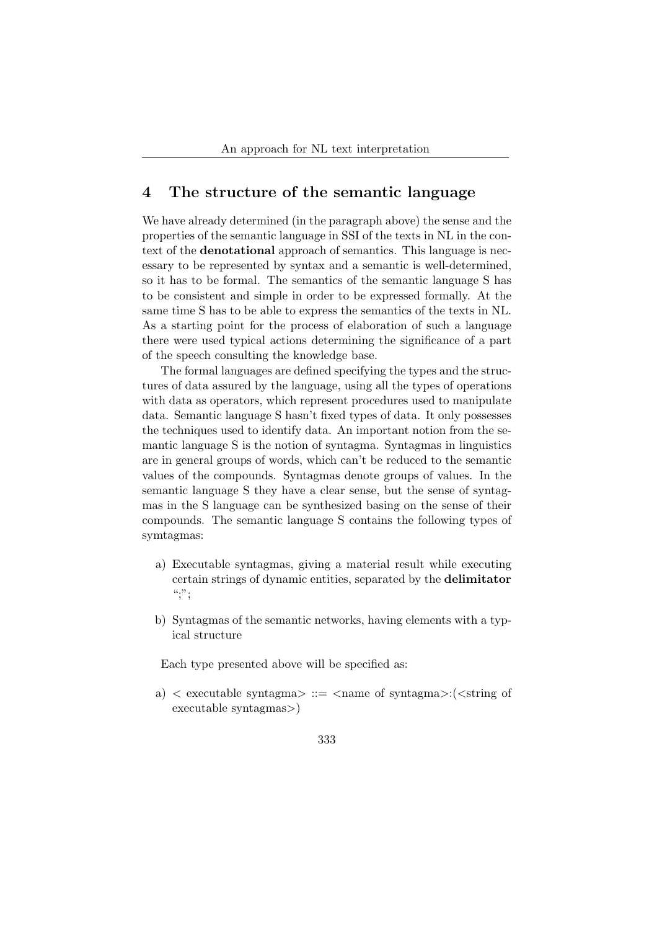### 4 The structure of the semantic language

We have already determined (in the paragraph above) the sense and the properties of the semantic language in SSI of the texts in NL in the context of the denotational approach of semantics. This language is necessary to be represented by syntax and a semantic is well-determined, so it has to be formal. The semantics of the semantic language S has to be consistent and simple in order to be expressed formally. At the same time S has to be able to express the semantics of the texts in NL. As a starting point for the process of elaboration of such a language there were used typical actions determining the significance of a part of the speech consulting the knowledge base.

The formal languages are defined specifying the types and the structures of data assured by the language, using all the types of operations with data as operators, which represent procedures used to manipulate data. Semantic language S hasn't fixed types of data. It only possesses the techniques used to identify data. An important notion from the semantic language S is the notion of syntagma. Syntagmas in linguistics are in general groups of words, which can't be reduced to the semantic values of the compounds. Syntagmas denote groups of values. In the semantic language S they have a clear sense, but the sense of syntagmas in the S language can be synthesized basing on the sense of their compounds. The semantic language S contains the following types of symtagmas:

- a) Executable syntagmas, giving a material result while executing certain strings of dynamic entities, separated by the delimitator  $\cdot$ ;";
- b) Syntagmas of the semantic networks, having elements with a typical structure

Each type presented above will be specified as:

a)  $\langle$  executable syntagma $\rangle$  ::=  $\langle$ name of syntagma $\rangle$ : $(\langle$ string of executable syntagmas>)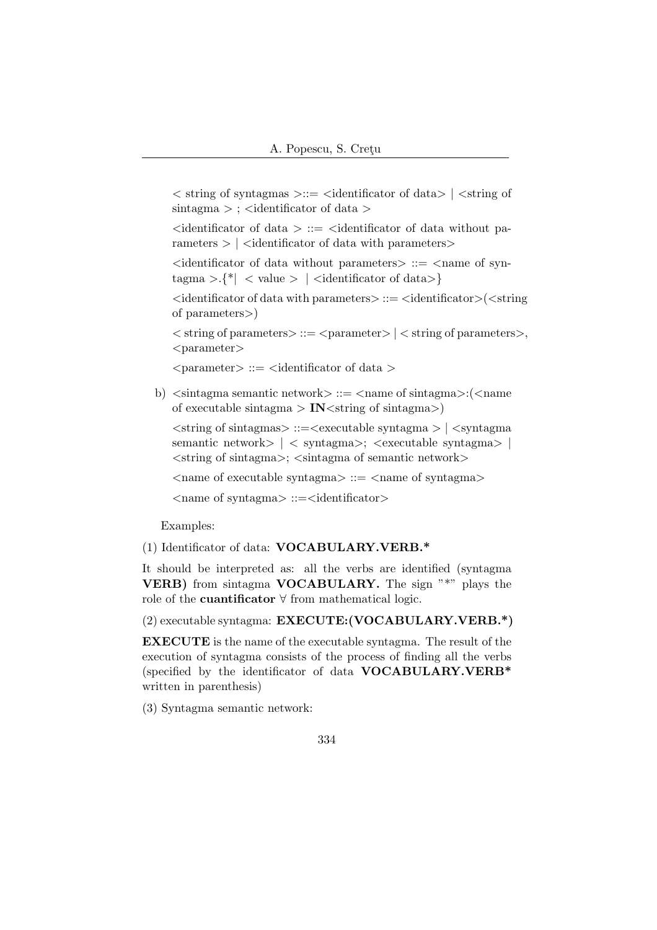```
\langle string of syntagmas \rangle ::= \langleidentificator of data\rangle | \langlestring of
\sin \theta > ; <identificator of data >
```
 $\alpha$  identificator of data  $\alpha$  ::=  $\alpha$  identificator of data without parameters  $>$  |  $\le$  dentificator of data with parameters  $>$ 

 $\leq$  identificator of data without parameters  $\geq$  ::=  $\leq$  name of syn $t\text{agma} > \{^*\}\langle \text{value} > \vert \langle \text{identity} \rangle$ 

 $\langle$ dentificator of data with parameters $\rangle$ ::= $\langle$ dentificator $\rangle$  $\langle$  $\langle$ string of parameters>)

 $\langle$  string of parameters $\rangle ::= \langle$  parameter $\rangle$  |  $\langle$  string of parameters $\rangle$ ,  $<$ parameter $>$ 

 $\langle$  parameter $\rangle$  ::=  $\langle$  identificator of data  $\rangle$ 

b)  $\langle$  sintagma semantic network $\rangle ::= \langle$  name of sintagma $\rangle$ : $\langle$  < name of executable sintagma  $>$  IN  $\lt$  string of sintagma  $>$ )

 $\langle$ string of sintagmas $\rangle$ : $=\langle$ executable syntagma $\rangle$  |  $\langle$ syntagma semantic network> | < syntagma>; <executable syntagma> |  $\langle$ string of sintagma $\rangle$ ;  $\langle$ sintagma of semantic network $\rangle$ 

 $\langle$  ame of executable syntagma $\rangle$  ::=  $\langle$  name of syntagma $\rangle$ 

 $\langle$  syntagma $\rangle$  ::= $\langle$ identificator $\rangle$ 

Examples:

(1) Identificator of data: VOCABULARY.VERB.\*

It should be interpreted as: all the verbs are identified (syntagma VERB) from sintagma VOCABULARY. The sign "\*" plays the role of the cuantificator ∀ from mathematical logic.

(2) executable syntagma: EXECUTE:(VOCABULARY.VERB.\*)

EXECUTE is the name of the executable syntagma. The result of the execution of syntagma consists of the process of finding all the verbs (specified by the identificator of data VOCABULARY.VERB\* written in parenthesis)

(3) Syntagma semantic network: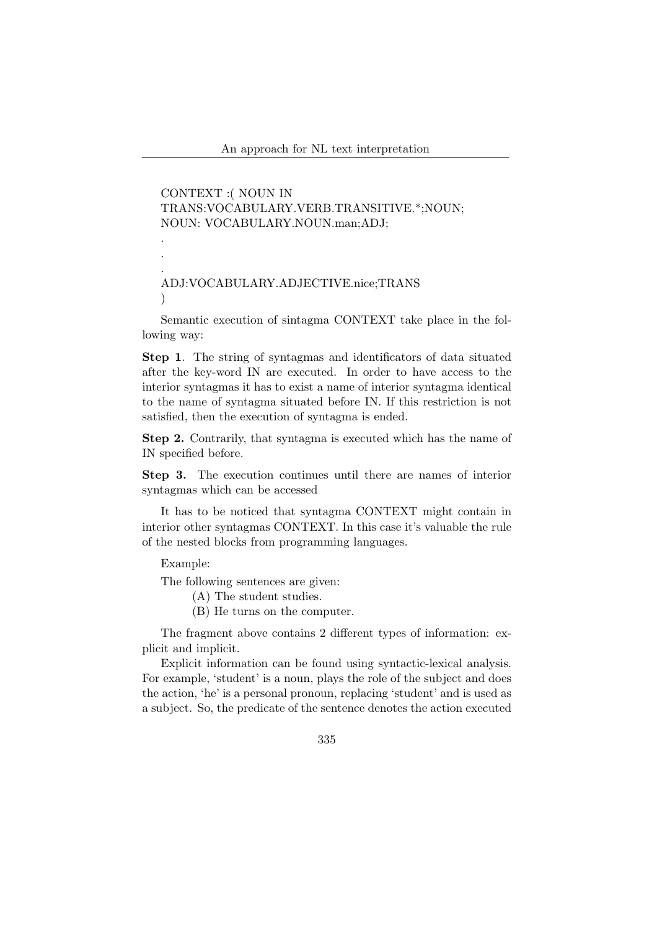CONTEXT :( NOUN IN TRANS:VOCABULARY.VERB.TRANSITIVE.\*;NOUN; NOUN: VOCABULARY.NOUN.man;ADJ; . . . ADJ:VOCABULARY.ADJECTIVE.nice;TRANS  $\lambda$ 

Semantic execution of sintagma CONTEXT take place in the following way:

Step 1. The string of syntagmas and identificators of data situated after the key-word IN are executed. In order to have access to the interior syntagmas it has to exist a name of interior syntagma identical to the name of syntagma situated before IN. If this restriction is not satisfied, then the execution of syntagma is ended.

Step 2. Contrarily, that syntagma is executed which has the name of IN specified before.

Step 3. The execution continues until there are names of interior syntagmas which can be accessed

It has to be noticed that syntagma CONTEXT might contain in interior other syntagmas CONTEXT. In this case it's valuable the rule of the nested blocks from programming languages.

Example:

The following sentences are given:

- (A) The student studies.
- (B) He turns on the computer.

The fragment above contains 2 different types of information: explicit and implicit.

Explicit information can be found using syntactic-lexical analysis. For example, 'student' is a noun, plays the role of the subject and does the action, 'he' is a personal pronoun, replacing 'student' and is used as a subject. So, the predicate of the sentence denotes the action executed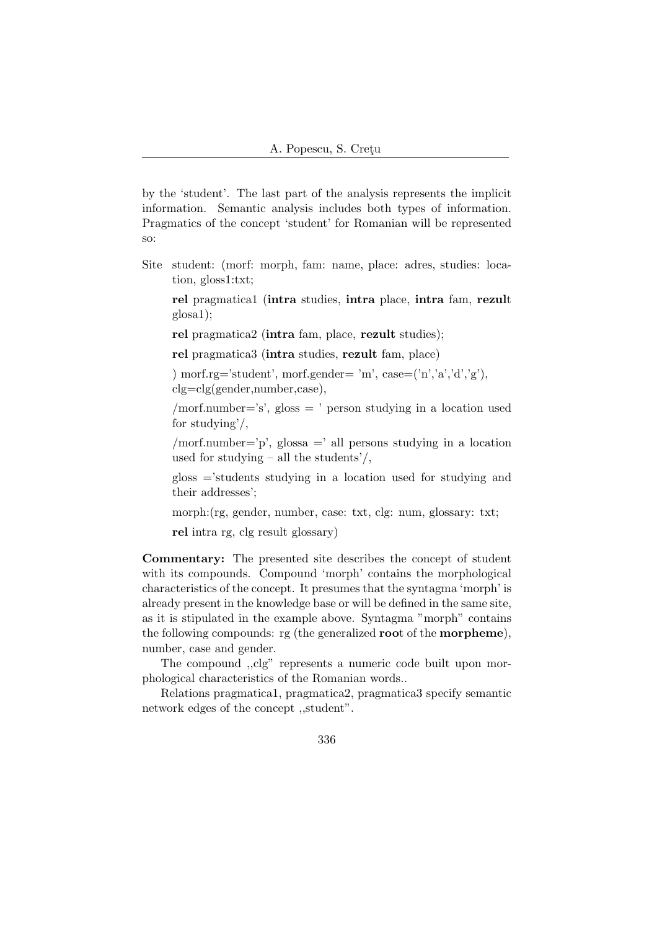by the 'student'. The last part of the analysis represents the implicit information. Semantic analysis includes both types of information. Pragmatics of the concept 'student' for Romanian will be represented so:

Site student: (morf: morph, fam: name, place: adres, studies: location, gloss1:txt;

rel pragmatica1 (intra studies, intra place, intra fam, rezult glosa1);

rel pragmatica2 (intra fam, place, rezult studies);

rel pragmatica3 (intra studies, rezult fam, place)

) morf.rg='student', morf.gender= 'm', case= $('n', a', d','g'),$ clg=clg(gender,number,case),

/morf.number='s', gloss = ' person studying in a location used for studying'/,

/morf.number='p', glossa =' all persons studying in a location used for studying – all the students'/,

gloss ='students studying in a location used for studying and their addresses';

morph:(rg, gender, number, case: txt, clg: num, glossary: txt;

rel intra rg, clg result glossary)

Commentary: The presented site describes the concept of student with its compounds. Compound 'morph' contains the morphological characteristics of the concept. It presumes that the syntagma 'morph' is already present in the knowledge base or will be defined in the same site, as it is stipulated in the example above. Syntagma "morph" contains the following compounds: rg (the generalized root of the morpheme), number, case and gender.

The compound ,,clg" represents a numeric code built upon morphological characteristics of the Romanian words..

Relations pragmatica1, pragmatica2, pragmatica3 specify semantic network edges of the concept ,,student".